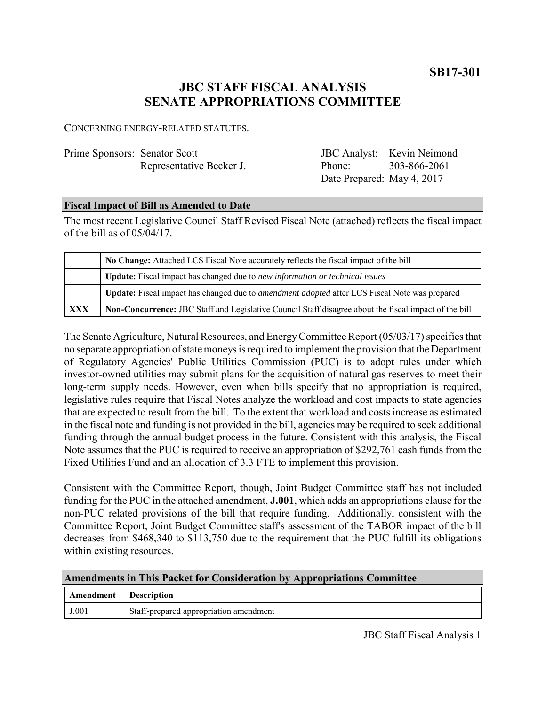**SB17-301**

# **JBC STAFF FISCAL ANALYSIS SENATE APPROPRIATIONS COMMITTEE**

CONCERNING ENERGY-RELATED STATUTES.

| Prime Sponsors: Senator Scott |                          |
|-------------------------------|--------------------------|
|                               | Representative Becker J. |

| <b>JBC</b> Analyst:        | Kevin Neimond |
|----------------------------|---------------|
| Phone:                     | 303-866-2061  |
| Date Prepared: May 4, 2017 |               |

### **Fiscal Impact of Bill as Amended to Date**

The most recent Legislative Council Staff Revised Fiscal Note (attached) reflects the fiscal impact of the bill as of 05/04/17.

|            | No Change: Attached LCS Fiscal Note accurately reflects the fiscal impact of the bill                       |  |
|------------|-------------------------------------------------------------------------------------------------------------|--|
|            | <b>Update:</b> Fiscal impact has changed due to new information or technical issues                         |  |
|            | <b>Update:</b> Fiscal impact has changed due to <i>amendment adopted</i> after LCS Fiscal Note was prepared |  |
| <b>XXX</b> | Non-Concurrence: JBC Staff and Legislative Council Staff disagree about the fiscal impact of the bill       |  |

The Senate Agriculture, Natural Resources, and Energy Committee Report (05/03/17) specifies that no separate appropriation of state moneys is required to implement the provision that the Department of Regulatory Agencies' Public Utilities Commission (PUC) is to adopt rules under which investor-owned utilities may submit plans for the acquisition of natural gas reserves to meet their long-term supply needs. However, even when bills specify that no appropriation is required, legislative rules require that Fiscal Notes analyze the workload and cost impacts to state agencies that are expected to result from the bill. To the extent that workload and costs increase as estimated in the fiscal note and funding is not provided in the bill, agencies may be required to seek additional funding through the annual budget process in the future. Consistent with this analysis, the Fiscal Note assumes that the PUC is required to receive an appropriation of \$292,761 cash funds from the Fixed Utilities Fund and an allocation of 3.3 FTE to implement this provision.

Consistent with the Committee Report, though, Joint Budget Committee staff has not included funding for the PUC in the attached amendment, **J.001**, which adds an appropriations clause for the non-PUC related provisions of the bill that require funding. Additionally, consistent with the Committee Report, Joint Budget Committee staff's assessment of the TABOR impact of the bill decreases from \$468,340 to \$113,750 due to the requirement that the PUC fulfill its obligations within existing resources.

| <b>Amendments in This Packet for Consideration by Appropriations Committee</b> |                                        |  |
|--------------------------------------------------------------------------------|----------------------------------------|--|
| <b>Amendment</b> Description                                                   |                                        |  |
| J.001                                                                          | Staff-prepared appropriation amendment |  |